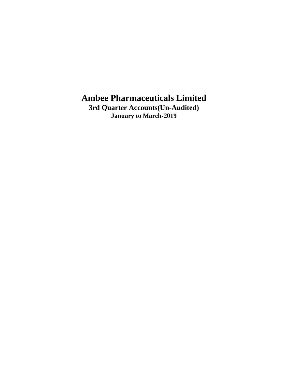**3rd Quarter Accounts(Un-Audited) January to March-2019**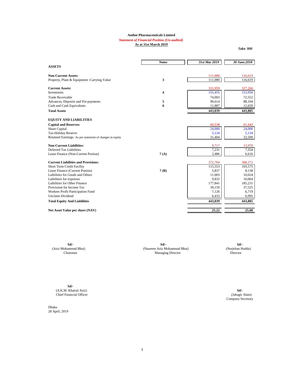#### *Statement of Financial Position (Un-audited)*

**As at 31st March 2019**

*Taka '000*

|                                                          | <b>Notes</b>            | 31st Mar 2019 | 30 June.2018 |
|----------------------------------------------------------|-------------------------|---------------|--------------|
| <b>ASSETS</b>                                            |                         |               |              |
| <b>Non-Current Assets:</b>                               |                         | 111,080       | 116,619      |
| Property, Plant & Equipment -Carrying Value              | 3                       | 111,080       | 116,619      |
| <b>Current Assets:</b>                                   |                         | 331,959       | 327,266      |
| <b>Inventories</b>                                       | $\overline{\mathbf{4}}$ | 155,455       | 153,950      |
| <b>Trade Receivable</b>                                  |                         | 74,003        | 72,552       |
| Advances, Deposits and Pre-payments                      | 5                       | 90,614        | 88,104       |
| Cash and Cash Equivalents                                | 6                       | 11,887        | 12,659       |
| <b>Total Assets</b>                                      |                         | 443,039       | 443,885      |
| <b>EQUITY AND LIABILITIES</b>                            |                         |               |              |
| <b>Capital and Reserves:</b>                             |                         | 60,538        | 61,643       |
| Share Capital                                            |                         | 24,000        | 24,000       |
| Tax-Holiday Reserve                                      |                         | 5,134         | 5,134        |
| Retained Earnings- As per statement of changes in equity |                         | 31,404        | 32,509       |
| <b>Non-Current Liabilities:</b>                          |                         | 9,717         | 13,970       |
| <b>Deferred Tax Liabilities</b>                          |                         | 7,231         | 7,354        |
| Lease Finance (Non-Current Portion)                      | 7(A)                    | 2,486         | 6,616        |
| <b>Current Liabilities and Provisions:</b>               |                         | 372,784       | 368,272      |
| <b>Short Term Credit Facility</b>                        |                         | 115,553       | 103,575      |
| Lease Finance (Current Portion)                          | 7(B)                    | 5,837         | 8,138        |
| Laibilities for Goods and Others                         |                         | 11,003        | 10,024       |
| Laibiliteis for expenses                                 |                         | 9,832         | 10,064       |
| Laibilities for Other Finance                            |                         | 177,841       | 185,231      |
| Provission for Income Tax                                |                         | 39,159        | 37,525       |
| Workers Profit Participation Fund                        |                         | 7,126         | 6,719        |
| <b>Unclaim Dividend</b>                                  |                         | 6,433         | 6,995        |
| <b>Total Equity And Liabilities</b>                      |                         | 443,039       | 443,885      |
| Net Asset Value per share (NAV)                          |                         | 25.22         | 25.68        |

**Sd/- Sd/- Sd/-** (Aziz Mohammad Bhai) (Naureen Aziz Mohammad Bhai) (Nurjehan Hudda) Managing Director

**Sd/-** (A.K.M. Khairul Aziz) **Sd/-** Chief Financial Officer

Dhaka 28 April, 2019 Company Secretary (Jahagir Alam)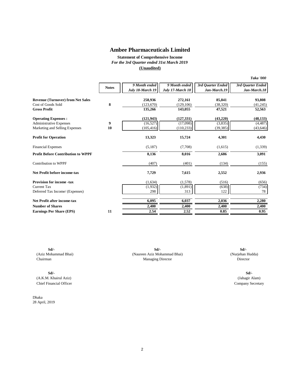**Statement of Comprehensive Income** *For the 3rd Quarter ended 31st March 2019* **(Unaudited)**

| 9 Month ended<br>9 Month ended<br>3rd Quarter Ended<br>3rd Quarter Ended<br><b>Notes</b><br>July 18-March 19<br>July 17-March 18<br>Jan-March.19<br>Jan-March.18<br><b>Revenue (Turnover) from Net Sales</b><br>258,936<br>272,161<br>85,841<br>8<br>Cost of Goods Sold<br>(123,670)<br>(129, 106)<br>(38, 320)<br><b>Gross Profit</b><br>135,266<br>143,055<br>47,521<br><b>Operating Expenses:</b><br>(121, 943)<br>(127, 331)<br>(43,220)<br>$\boldsymbol{9}$<br>(16, 527)<br>(17,098)<br>(3,835)<br><b>Administrative Expenses</b><br>10 | <b>Taka '000</b> |
|----------------------------------------------------------------------------------------------------------------------------------------------------------------------------------------------------------------------------------------------------------------------------------------------------------------------------------------------------------------------------------------------------------------------------------------------------------------------------------------------------------------------------------------------|------------------|
|                                                                                                                                                                                                                                                                                                                                                                                                                                                                                                                                              |                  |
|                                                                                                                                                                                                                                                                                                                                                                                                                                                                                                                                              |                  |
|                                                                                                                                                                                                                                                                                                                                                                                                                                                                                                                                              | 93,808           |
|                                                                                                                                                                                                                                                                                                                                                                                                                                                                                                                                              | (41, 245)        |
|                                                                                                                                                                                                                                                                                                                                                                                                                                                                                                                                              | 52,563           |
|                                                                                                                                                                                                                                                                                                                                                                                                                                                                                                                                              | (48, 133)        |
|                                                                                                                                                                                                                                                                                                                                                                                                                                                                                                                                              | (4, 487)         |
| Marketing and Selling Expenses<br>(105, 416)<br>(110, 233)<br>(39, 385)                                                                                                                                                                                                                                                                                                                                                                                                                                                                      | (43, 646)        |
| <b>Profit for Operation</b><br>13,323<br>15,724<br>4,301                                                                                                                                                                                                                                                                                                                                                                                                                                                                                     | 4,430            |
| (5,187)<br>(7,708)<br>(1,615)<br><b>Financial Expenses</b>                                                                                                                                                                                                                                                                                                                                                                                                                                                                                   | (1,339)          |
| <b>Profit Before Contribution to WPPF</b><br>8,136<br>8,016<br>2,686                                                                                                                                                                                                                                                                                                                                                                                                                                                                         | 3,091            |
| <b>Contribution to WPPF</b><br>(407)<br>(401)<br>(134)                                                                                                                                                                                                                                                                                                                                                                                                                                                                                       | (155)            |
| Net Profit before income-tax<br>7,729<br>7,615<br>2,552                                                                                                                                                                                                                                                                                                                                                                                                                                                                                      | 2,936            |
| <b>Provision for income -tax</b><br>(1,634)<br>(1,578)<br>(516)                                                                                                                                                                                                                                                                                                                                                                                                                                                                              | (656)            |
| (1,932)<br>(1,891)<br><b>Current Tax</b><br>(638)                                                                                                                                                                                                                                                                                                                                                                                                                                                                                            | (734)            |
| 122<br>Deferred Tax Income/ (Expenses)<br>298<br>313                                                                                                                                                                                                                                                                                                                                                                                                                                                                                         | 78               |
| 6,095<br>6,037<br>2,036<br>Net Profit after income-tax                                                                                                                                                                                                                                                                                                                                                                                                                                                                                       | 2,280            |
| 2,400<br>2,400<br><b>Number of Shares</b><br>2,400                                                                                                                                                                                                                                                                                                                                                                                                                                                                                           | 2,400            |
| <b>Earnings Per Share (EPS)</b><br>2.54<br>2.52<br>0.85<br>11                                                                                                                                                                                                                                                                                                                                                                                                                                                                                | 0.95             |

**Sd/- Sd/-** (A.K.M. Khairul Aziz) (Jahagir Alam) Chief Financial Officer Company Secretary

Dhaka 28 April, 2019

**Sd/- Sd/-** (Aziz Mohammad Bhai) (Nurjehan Hudda) (Naureen Aziz Mohammad Bhai) Chairman Director Managing Director **Sd/-**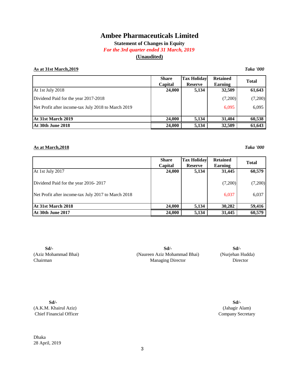## **Statement of Changes in Equity**

#### *For the 3rd quarter ended 31 March, 2019*

## **(Unaudited)**

#### **As at 31st March,2019** *Taka '000*

|                                                     | <b>Share</b><br>Capital | <b>Tax Holiday</b><br><b>Reserve</b> | <b>Retained</b><br>Earning | <b>Total</b> |
|-----------------------------------------------------|-------------------------|--------------------------------------|----------------------------|--------------|
| At 1st July 2018                                    | 24,000                  | 5,134                                | 32,509                     | 61,643       |
| Dividend Paid for the year 2017-2018                |                         |                                      | (7,200)                    | (7,200)      |
| Net Profit after income-tax July 2018 to March 2019 |                         |                                      | 6,095                      | 6,095        |
| At 31st March 2019                                  | 24,000                  | 5,134                                | 31,404                     | 60,538       |
| <b>At 30th June 2018</b>                            | 24,000                  | 5,134                                | 32,509                     | 61,643       |

#### **As at March,2018** *Taka '000*

**Share Tax Holiday Retained Capital Reserve Earning** At 1st July 2017 **24,000 24,000 24,000 5,134 31,445 60,579** Dividend Paid for the year 2016- 2017 (7,200) (7,200) (7,200) (7,200) Net Profit after income-tax July 2017 to March 2018 6,037 6,037 6,037 **At 31st March 2018** 24,000 5,134 30,282 59,416 At 30th June 2017 **24,000 5,134** 31,445 **60,579 Total**

**Sd/-** (Aziz Mohammad Bhai) Chairman

(Naureen Aziz Mohammad Bhai) (Nurjehan Hudda) **Sd/- Sd/-** Managing Director Director

**Sd/-** (A.K.M. Khairul Aziz) Chief Financial Officer

(Jahagir Alam) Company Secretary **Sd/-**

Dhaka 28 April, 2019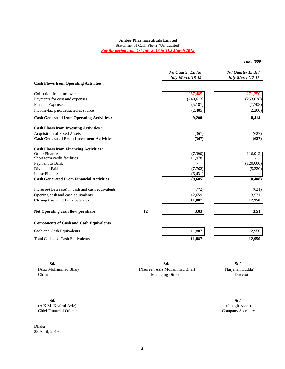Statement of Cash Flows (Un-audited) *For the period from 1st July 2018 to 31st March 2019*

*Taka '000*

|                                                   |    | 3rd Quarter Ended<br>July-March'18-19 | 3rd Quarter Ended<br>July-March'17-18 |
|---------------------------------------------------|----|---------------------------------------|---------------------------------------|
| <b>Cash Flows from Operating Activities:</b>      |    |                                       |                                       |
| Collection from turnover                          |    | 257,485                               | 271,350                               |
| Payments for cost and expenses                    |    | (240, 613)                            | (253, 028)                            |
| <b>Finance Expenses</b>                           |    | (5,187)                               | (7,708)                               |
| Income-tax paid/deducted at source                |    | (2, 485)                              | (2,200)                               |
| <b>Cash Generated from Operating Activities :</b> |    | 9,200                                 | 8,414                                 |
| <b>Cash Flows from Investing Activities:</b>      |    |                                       |                                       |
| <b>Acquisition of Fixed Assets</b>                |    | (367)                                 | (627)                                 |
| <b>Cash Generated From Investment Activities</b>  |    | (367)                                 | (627)                                 |
| <b>Cash Flows from Financing Activities:</b>      |    |                                       |                                       |
| Other Finance<br>Short term credit facilities     |    | (7, 390)                              | 116,912                               |
|                                                   |    | 11,978                                |                                       |
| Payment to Bank<br>Dividend Paid                  |    |                                       | (120,000)                             |
| Lease Finance                                     |    | (7,762)                               | (5,320)                               |
| <b>Cash Generated From Financial Activities</b>   |    | (6, 431)<br>(9,605)                   | (8, 408)                              |
| Increase/(Decrease) in cash and cash equivalents  |    | (772)                                 | (621)                                 |
| Opening cash and cash equivalents                 |    | 12,659                                | 13,571                                |
| Closing Cash and Bank balances                    |    | 11,887                                | 12,950                                |
| Net Operating cash flow per share                 | 12 | 3.83                                  | 3.51                                  |
| <b>Components of Cash and Cash Equivalents</b>    |    |                                       |                                       |
| Cash and Cash Equivalents                         |    | 11,887                                | 12,950                                |
| <b>Total Cash and Cash Equivalents</b>            |    | 11,887                                | 12,950                                |
|                                                   |    |                                       |                                       |

**Sd/- Sd/-** (Aziz Mohammad Bhai) (Nurjehan Hudda) (Naureen Aziz Mohammad Bhai) Chairman Director Managing Director **Sd/-**

**Sd/- Sd/-** (A.K.M. Khairul Aziz) (Jahagir Alam) Chief Financial Officer Company Secretary

Dhaka 28 April, 2019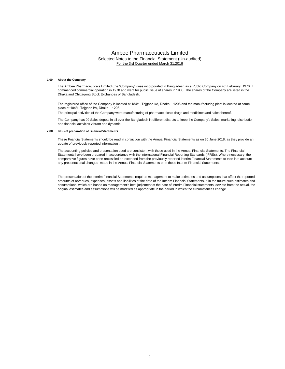#### Ambee Pharmaceuticals Limited Selected Notes to the Financial Statement (Un-audited) For the 3rd Quarter ended March 31,2019

#### **1.00 About the Company**

The Ambee Pharmaceuticals Limited (the "Company") was incorporated in Bangladesh as a Public Company on 4th February, 1976. It commenced commercial operation in 1978 and went for public issue of shares in 1986. The shares of the Company are listed in the Dhaka and Chittagong Stock Exchanges of Bangladesh.

The registered office of the Company is located at 184/1, Tejgaon I/A, Dhaka – 1208 and the manufacturing plant is located at same place at 184/1, Tejgaon I/A, Dhaka – 1208.

The principal activities of the Company were manufacturing of pharmaceuticals drugs and medicines and sales thereof.

The Company has 09 Sales depots in all over the Bangladesh in different distrcts to keep the Company's Sales, marketing, distribution and financial activities vibrant and dynamic.

#### **2.00 Basis of preparation of Financial Statements**

These Fnancial Statements should be read in conjuction with the Annual Financial Statements as on 30 June 2018, as they provide an update of previously reported information .

The accounting policies and presentation used are consistent with those used in the Annual Financial Statements. The Financial Statements have been prepared in accourdance with the International Financial Reporting Stansards (IFRSs). Where necessary, the comparative figures have been reclssified or extended from the previously reported interim Financial Statements to take into account any presentational changes made in the Annual Financial Statements or in these Interim Financial Statements.

The presentation of the Interim Financial Statements requires management to make estimates and assumptions that affect the reported amounts of revenues, expenses, assets and liabilities at the date of the Interim Financial Statements. If in the future such estimates and assumptions, which are based on management's best judjement at the date of Interim Financial statements, deviate from the actual, the original estimates and assumptions will be modified as appropriate in the period in which the circumstances change.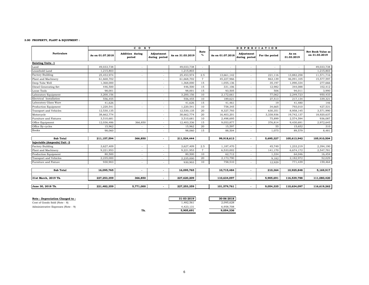#### **3.00 PROPERTY, PLANT & EQUIPMENT :**

|                              |                  | CO <sub>S</sub> T                |                             |                  |                | <b>DEPRECIATION</b> |                             |                |                     |                                           |
|------------------------------|------------------|----------------------------------|-----------------------------|------------------|----------------|---------------------|-----------------------------|----------------|---------------------|-------------------------------------------|
| <b>Particulars</b>           | As on 01.07.2018 | <b>Addition during</b><br>period | Adjustment<br>during period | As on 31.03.2019 | Rate<br>$\%$   | As on 01.07.2018    | Adjustment<br>during period | For the period | As on<br>31.03.2019 | <b>Net Book Value as</b><br>on 31.03.2019 |
| <b>Existing Units -1</b>     |                  |                                  |                             |                  |                |                     |                             |                |                     |                                           |
| Land                         | 49,033,738       |                                  |                             | 49,033,738       |                |                     | ٠                           | $\sim$         |                     | 49,033,738                                |
| Leasehold Land               | 1,215,803        |                                  |                             | 1,215,803        |                |                     |                             | $\sim$         |                     | 1,215,803                                 |
| <b>Factory Building</b>      | 25,453,974       |                                  |                             | 25,453,974       | 2.5            | 13,661,142          |                             | 221,116        | 13,882,258          | 11,571,716                                |
| Plant and Machinery          | 61,668,702       |                                  |                             | 61,668,702       | $\overline{7}$ | 45,227,966          |                             | 863,139        | 46,091,105          | 15,577,597                                |
| Deep Tube Well               | 1,368,000        |                                  | ٠                           | 1,368,000        | 15             | 1,055,136           | ٠                           | 35,197         | 1,090,334           | 277,666                                   |
| Diesel Generating Set        | 446,500          |                                  |                             | 446,500          | 15             | 331,106             |                             | 12,982         | 344,088             | 102,412                                   |
| Loose Tools                  | 98,001           |                                  |                             | 98,001           | 15             | 93,505              |                             | 506            | 94,011              | 3,990                                     |
| Laboratory Equipment         | 3,200,156        |                                  | ٠                           | 3,200,156        | 10             | 2,172,661           | $\overline{\phantom{a}}$    | 77,062         | 2,249,723           | 950,433                                   |
| Electrical Installation      | 556,455          |                                  | ٠                           | 556,455          | 10             | 189,621             | ٠                           | 27,513         | 217,134             | 339,321                                   |
| Laboratory Glass Ware        | 41.626           |                                  |                             | 41,626           | 15             | 41,461              |                             | 19             | 41,480              | 146                                       |
| Production Equipment         | 1,220,541        |                                  | ٠                           | 1,220,541        | 10             | 758,345             |                             | 34,665         | 793,010             | 427,531                                   |
| Transport and Vehicles       | 12,530,135       |                                  | ٠                           | 12,530,135       | 20             | 8,327,793           |                             | 630,351        | 8,958,145           | 3,571,990                                 |
| Motorcycle                   | 38,662,774       |                                  |                             | 38,662,774       | 20             | 16,403,201          |                             | 3,338,936      | 19,742,137          | 18,920,637                                |
| Furniture and Fixtures       | 3,510,681        |                                  |                             | 3,510,681        | 10             | 2,498,695           |                             | 75,899         | 2,574,594           | 936,087                                   |
| Office Equipment             | 12,036,486       | 366,850                          |                             | 12,403,336       | 15             | 9,053,877           |                             | 376,814        | 9,430,691           | 2,972,645                                 |
| Office By-cycles             | 15,962           |                                  | ٠                           | 15,962           | 20             | 15,597              |                             | 55             | 15,652              | 310                                       |
| <b>Books</b>                 | 98,060           |                                  |                             | 98,060           | 15             | 88,504              |                             | 1,075          | 89,579              | 8,481                                     |
| Sub Total                    | 211,157,594      | 366,850                          |                             | 211,524,444      |                | 99,918,613          |                             | 5,695,327      | 105,613,942         | 105,910,504                               |
| Injectable (Ampoule) Unit -2 |                  |                                  |                             |                  |                |                     |                             |                |                     |                                           |
| <b>Factory Building</b>      | 3,627,409        |                                  |                             | 3,627,409        | 2.5            | 1,187,470           |                             | 45,749         | 1,233,219           | 2,394,190                                 |
| Plant and Machinery          | 9,221,953        |                                  |                             | 9,221,953        | $\overline{7}$ | 6,533,002           |                             | 141,170        | 6,674,172           | 2,547,781                                 |
| Production Equipment         | 80,500           |                                  |                             | 80,500           | 10             | 62,712              | ٠                           | 1,334          | 64,046              | 16,454                                    |
| Transport and Vehicles       | 2,235,000        |                                  |                             | 2,235,000        | 20             | 2,173,790           | $\overline{\phantom{a}}$    | 9,182          | 2,182,972           | 52,029                                    |
| Furniture and Fixture        | 930.903          |                                  |                             | 930,903          | 10             | 758,510             |                             | 12,929         | 771,439             | 159,464                                   |
|                              |                  |                                  |                             |                  |                |                     |                             |                |                     |                                           |
| Sub Total                    | 16,095,765       | $\overline{\phantom{a}}$         |                             | 16,095,765       |                | 10,715,484          | $\blacksquare$              | 210,364        | 10,925,848          | 5,169,917                                 |
| 31st March, 2019 Tk.         | 227,253,359      | 366,850                          |                             | 227,620,209      |                | 110,634,097         | $\blacksquare$              | 5.905.691      | 116,539,788         | 111,080,420                               |
| June 30, 2018 Tk.            | 221,482,359      | 5,771,000                        |                             | 227,253,359      |                | 101,579,761         | $\overline{\phantom{a}}$    | 9,054,335      | 110,634,097         | 116,619,262                               |

| Note : Depreciation Charged to :   |     | 31-03-2019 | 30-06-2018 |
|------------------------------------|-----|------------|------------|
| Cost of Goods Sold (Note - 8)      |     | 1.482.561  | 2,095,628  |
| Administrative Expenses (Note - 9) |     | 4.423.131  | 6.958.708  |
|                                    | Tk. | 5.905.691  | 9.054.336  |
|                                    |     |            |            |

| -2019 | 30-06-2018 |
|-------|------------|
| 2,561 | 2,095,628  |
| 3.131 | 6.958.708  |
| 5,691 | 9,054,336  |
|       |            |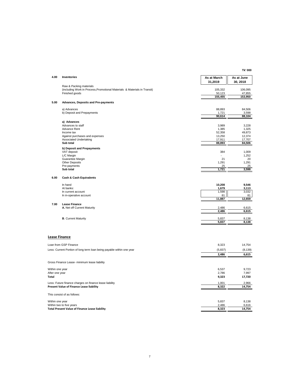**Tk' 000**

| 4.00                 | Inventories                                                                                          | As at March<br>31,2019 | As at June<br>30, 2018 |
|----------------------|------------------------------------------------------------------------------------------------------|------------------------|------------------------|
|                      | Raw & Packing materials<br>(including Work in Process, Promotional Materials & Materials in Transit) | 105,332                | 106,095                |
|                      | Finished goods                                                                                       | 50,123<br>155,455      | 47,855<br>153,950      |
| 5.00                 | Advances, Deposits and Pre-payments                                                                  |                        |                        |
|                      | a) Advances                                                                                          | 88,893                 | 84,506                 |
|                      | b) Deposit and Prepayments                                                                           | 1,721                  | 3,598                  |
|                      |                                                                                                      | 90,614                 | 88,104                 |
|                      | a) Advances<br>Advances to staff                                                                     | 3,989                  | 3,228                  |
|                      | Advance Rent                                                                                         | 1,385                  | 1,325                  |
|                      | Income tax                                                                                           | 52,358                 | 49,873                 |
|                      | Against purchases and expenses                                                                       | 13,250                 | 12,374                 |
|                      | Associated Undertaking<br>Sub total                                                                  | 17,911<br>88,893       | 17,707<br>84,506       |
|                      |                                                                                                      |                        |                        |
|                      | b) Deposit and Prepayments<br>VAT deposit                                                            | 384                    | 1,009                  |
|                      | L/C Margin                                                                                           | $\overline{a}$         | 1,252                  |
|                      | Guarantee Margin                                                                                     | 21                     | 20                     |
|                      | Other Deposits                                                                                       | 1,291                  | 1,291                  |
|                      | Pre-payments                                                                                         | 25                     | 25                     |
|                      | Sub total                                                                                            | 1,721                  | 3,598                  |
| 6.00                 | <b>Cash &amp; Cash Equivalents</b>                                                                   |                        |                        |
|                      | In hand                                                                                              | 10,208                 | 9,546                  |
|                      | At banks:                                                                                            | 1,679                  | 3,113                  |
|                      | In current account<br>In in-operative account                                                        | 1,598<br>81            | 3,032<br>81            |
|                      |                                                                                                      | 11,887                 | 12,659                 |
| 7.00                 | <b>Lease Finance</b>                                                                                 |                        |                        |
|                      | A. Net off Current Maturity                                                                          | 2,486<br>2,486         | 6,615<br>6,615         |
|                      |                                                                                                      |                        |                        |
|                      | <b>B.</b> Current Maturity                                                                           | 5,837                  | 8,138                  |
|                      |                                                                                                      | 5,837                  | 8,138                  |
|                      |                                                                                                      |                        |                        |
| <b>Lease Finance</b> |                                                                                                      |                        |                        |
|                      | Loan from GSP Finance                                                                                | 8,323                  | 14,754                 |
|                      | Less: Current Portion of long term loan being payable within one year                                | (5,837)                | (8, 139)               |
|                      |                                                                                                      | 2,486                  | 6,615                  |
|                      | Gross Finance Lease- minimum lease liability                                                         |                        |                        |
| Within one year      |                                                                                                      | 6,537                  | 9,723                  |
| After one year       |                                                                                                      | 2,786                  | 7,997                  |
| Total                |                                                                                                      | 9,323                  | 17,720                 |
|                      | Less: Future finance charges on finance lease liability                                              | 1,001                  | 2,966                  |
|                      | Present Value of Finance Lease liability                                                             | 8,322                  | 14,754                 |
|                      | This consist of as follows:                                                                          |                        |                        |
| Within one year      |                                                                                                      | 5,837                  | 8,138                  |
|                      | Within two to five years                                                                             | 2,486                  | 6,616                  |
|                      | Total Present Value of Finance Lease liability                                                       | 8,323                  | 14,754                 |